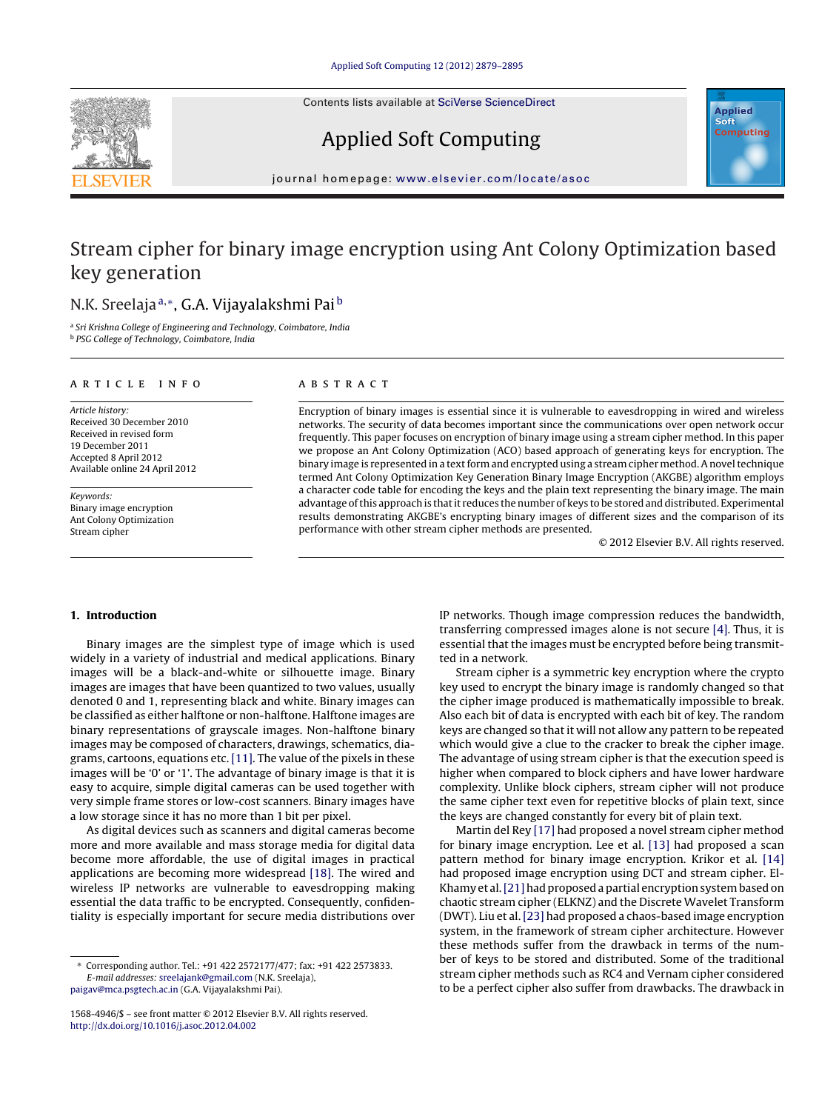Contents lists available at SciVerse [ScienceDirect](http://www.sciencedirect.com/science/journal/15684946)



## Applied Soft Computing



iournal homepage: <www.elsevier.com/locate/asoc>

### Stream cipher for binary image encryption using Ant Colony Optimization based key generation

### N.K. Sreelaja<sup>a,∗</sup>, G.A. Vijayalakshmi Pai<sup>b</sup>

<sup>a</sup> Sri Krishna College of Engineering and Technology, Coimbatore, India <sup>b</sup> PSG College of Technology, Coimbatore, India

#### ARTICLE INFO

Article history: Received 30 December 2010 Received in revised form 19 December 2011 Accepted 8 April 2012 Available online 24 April 2012

Keywords: Binary image encryption Ant Colony Optimization Stream cipher

#### A B S T R A C T

Encryption of binary images is essential since it is vulnerable to eavesdropping in wired and wireless networks. The security of data becomes important since the communications over open network occur frequently. This paper focuses on encryption of binary image using a stream cipher method. In this paper we propose an Ant Colony Optimization (ACO) based approach of generating keys for encryption. The binary image is represented in a text form and encrypted using a stream cipher method. A novel technique termed Ant Colony Optimization Key Generation Binary Image Encryption (AKGBE) algorithm employs a character code table for encoding the keys and the plain text representing the binary image. The main advantage of this approach is that it reduces the number of keys to be stored and distributed. Experimental results demonstrating AKGBE's encrypting binary images of different sizes and the comparison of its performance with other stream cipher methods are presented.

© 2012 Elsevier B.V. All rights reserved.

#### **1. Introduction**

Binary images are the simplest type of image which is used widely in a variety of industrial and medical applications. Binary images will be a black-and-white or silhouette image. Binary images are images that have been quantized to two values, usually denoted 0 and 1, representing black and white. Binary images can be classified as either halftone or non-halftone. Halftone images are binary representations of grayscale images. Non-halftone binary images may be composed of characters, drawings, schematics, diagrams, cartoons, equations etc. [\[11\].](#page--1-0) The value of the pixels in these images will be '0' or '1'. The advantage of binary image is that it is easy to acquire, simple digital cameras can be used together with very simple frame stores or low-cost scanners. Binary images have a low storage since it has no more than 1 bit per pixel.

As digital devices such as scanners and digital cameras become more and more available and mass storage media for digital data become more affordable, the use of digital images in practical applications are becoming more widespread [\[18\].](#page--1-0) The wired and wireless IP networks are vulnerable to eavesdropping making essential the data traffic to be encrypted. Consequently, confidentiality is especially important for secure media distributions over

1568-4946/\$ – see front matter © 2012 Elsevier B.V. All rights reserved. [http://dx.doi.org/10.1016/j.asoc.2012.04.002](dx.doi.org/10.1016/j.asoc.2012.04.002)

IP networks. Though image compression reduces the bandwidth, transferring compressed images alone is not secure [\[4\].](#page--1-0) Thus, it is essential that the images must be encrypted before being transmitted in a network.

Stream cipher is a symmetric key encryption where the crypto key used to encrypt the binary image is randomly changed so that the cipher image produced is mathematically impossible to break. Also each bit of data is encrypted with each bit of key. The random keys are changed so that it will not allow any pattern to be repeated which would give a clue to the cracker to break the cipher image. The advantage of using stream cipher is that the execution speed is higher when compared to block ciphers and have lower hardware complexity. Unlike block ciphers, stream cipher will not produce the same cipher text even for repetitive blocks of plain text, since the keys are changed constantly for every bit of plain text.

Martin del Rey [\[17\]](#page--1-0) had proposed a novel stream cipher method for binary image encryption. Lee et al. [\[13\]](#page--1-0) had proposed a scan pattern method for binary image encryption. Krikor et al. [\[14\]](#page--1-0) had proposed image encryption using DCT and stream cipher. El-Khamy et al. [21] had proposed a partial encryption system based on chaotic stream cipher (ELKNZ) and the Discrete Wavelet Transform (DWT). Liu et al.[\[23\]](#page--1-0) had proposed a chaos-based image encryption system, in the framework of stream cipher architecture. However these methods suffer from the drawback in terms of the number of keys to be stored and distributed. Some of the traditional stream cipher methods such as RC4 and Vernam cipher considered to be a perfect cipher also suffer from drawbacks. The drawback in

<sup>∗</sup> Corresponding author. Tel.: +91 422 2572177/477; fax: +91 422 2573833. E-mail addresses: [sreelajank@gmail.com](mailto:sreelajank@gmail.com) (N.K. Sreelaja), [paigav@mca.psgtech.ac.in](mailto:paigav@mca.psgtech.ac.in) (G.A. Vijayalakshmi Pai).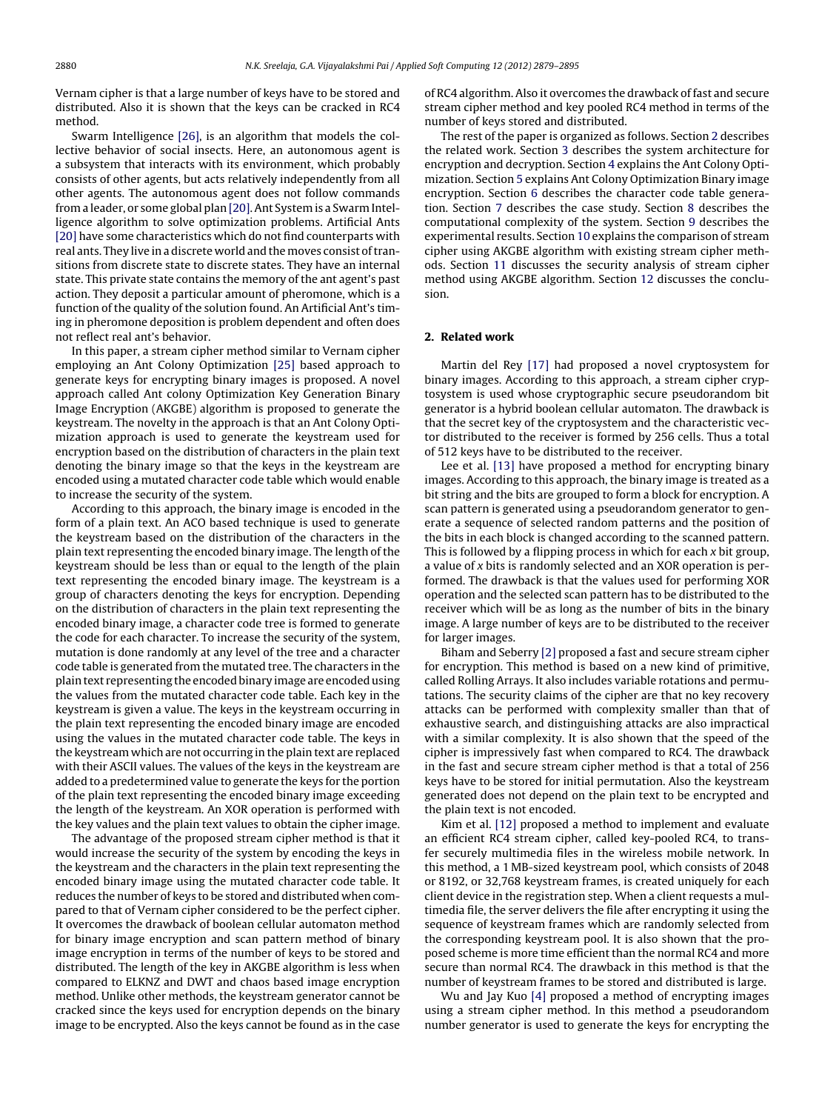Vernam cipher is that a large number of keys have to be stored and distributed. Also it is shown that the keys can be cracked in RC4 method.

Swarm Intelligence [\[26\],](#page--1-0) is an algorithm that models the collective behavior of social insects. Here, an autonomous agent is a subsystem that interacts with its environment, which probably consists of other agents, but acts relatively independently from all other agents. The autonomous agent does not follow commands from a leader, or some global plan [\[20\].A](#page--1-0)nt System is a Swarm Intelligence algorithm to solve optimization problems. Artificial Ants [\[20\]](#page--1-0) have some characteristics which do not find counterparts with real ants. They live in a discrete world and the moves consist of transitions from discrete state to discrete states. They have an internal state. This private state contains the memory of the ant agent's past action. They deposit a particular amount of pheromone, which is a function of the quality of the solution found. An Artificial Ant's timing in pheromone deposition is problem dependent and often does not reflect real ant's behavior.

In this paper, a stream cipher method similar to Vernam cipher employing an Ant Colony Optimization [\[25\]](#page--1-0) based approach to generate keys for encrypting binary images is proposed. A novel approach called Ant colony Optimization Key Generation Binary Image Encryption (AKGBE) algorithm is proposed to generate the keystream. The novelty in the approach is that an Ant Colony Optimization approach is used to generate the keystream used for encryption based on the distribution of characters in the plain text denoting the binary image so that the keys in the keystream are encoded using a mutated character code table which would enable to increase the security of the system.

According to this approach, the binary image is encoded in the form of a plain text. An ACO based technique is used to generate the keystream based on the distribution of the characters in the plain text representing the encoded binary image. The length of the keystream should be less than or equal to the length of the plain text representing the encoded binary image. The keystream is a group of characters denoting the keys for encryption. Depending on the distribution of characters in the plain text representing the encoded binary image, a character code tree is formed to generate the code for each character. To increase the security of the system, mutation is done randomly at any level of the tree and a character code table is generated from the mutated tree. The characters in the plain text representing the encoded binary image are encoded using the values from the mutated character code table. Each key in the keystream is given a value. The keys in the keystream occurring in the plain text representing the encoded binary image are encoded using the values in the mutated character code table. The keys in the keystream which are not occurring in the plain text are replaced with their ASCII values. The values of the keys in the keystream are added to a predetermined value to generate the keys for the portion of the plain text representing the encoded binary image exceeding the length of the keystream. An XOR operation is performed with the key values and the plain text values to obtain the cipher image.

The advantage of the proposed stream cipher method is that it would increase the security of the system by encoding the keys in the keystream and the characters in the plain text representing the encoded binary image using the mutated character code table. It reduces the number of keys to be stored and distributed when compared to that of Vernam cipher considered to be the perfect cipher. It overcomes the drawback of boolean cellular automaton method for binary image encryption and scan pattern method of binary image encryption in terms of the number of keys to be stored and distributed. The length of the key in AKGBE algorithm is less when compared to ELKNZ and DWT and chaos based image encryption method. Unlike other methods, the keystream generator cannot be cracked since the keys used for encryption depends on the binary image to be encrypted. Also the keys cannot be found as in the case

of RC4 algorithm. Also it overcomes the drawback of fast and secure stream cipher method and key pooled RC4 method in terms of the number of keys stored and distributed.

The rest of the paper is organized as follows. Section 2 describes the related work. Section [3](#page--1-0) describes the system architecture for encryption and decryption. Section [4](#page--1-0) explains the Ant Colony Optimization. Section [5](#page--1-0) explains Ant Colony Optimization Binary image encryption. Section [6](#page--1-0) describes the character code table generation. Section [7](#page--1-0) describes the case study. Section [8](#page--1-0) describes the computational complexity of the system. Section [9](#page--1-0) describes the experimental results. Section [10](#page--1-0) explains the comparison of stream cipher using AKGBE algorithm with existing stream cipher methods. Section [11](#page--1-0) discusses the security analysis of stream cipher method using AKGBE algorithm. Section [12](#page--1-0) discusses the conclusion.

#### **2. Related work**

Martin del Rey [\[17\]](#page--1-0) had proposed a novel cryptosystem for binary images. According to this approach, a stream cipher cryptosystem is used whose cryptographic secure pseudorandom bit generator is a hybrid boolean cellular automaton. The drawback is that the secret key of the cryptosystem and the characteristic vector distributed to the receiver is formed by 256 cells. Thus a total of 512 keys have to be distributed to the receiver.

Lee et al. [\[13\]](#page--1-0) have proposed a method for encrypting binary images. According to this approach, the binary image is treated as a bit string and the bits are grouped to form a block for encryption. A scan pattern is generated using a pseudorandom generator to generate a sequence of selected random patterns and the position of the bits in each block is changed according to the scanned pattern. This is followed by a flipping process in which for each  $x$  bit group, a value of x bits is randomly selected and an XOR operation is performed. The drawback is that the values used for performing XOR operation and the selected scan pattern has to be distributed to the receiver which will be as long as the number of bits in the binary image. A large number of keys are to be distributed to the receiver for larger images.

Biham and Seberry [\[2\]](#page--1-0) proposed a fast and secure stream cipher for encryption. This method is based on a new kind of primitive, called Rolling Arrays. It also includes variable rotations and permutations. The security claims of the cipher are that no key recovery attacks can be performed with complexity smaller than that of exhaustive search, and distinguishing attacks are also impractical with a similar complexity. It is also shown that the speed of the cipher is impressively fast when compared to RC4. The drawback in the fast and secure stream cipher method is that a total of 256 keys have to be stored for initial permutation. Also the keystream generated does not depend on the plain text to be encrypted and the plain text is not encoded.

Kim et al. [\[12\]](#page--1-0) proposed a method to implement and evaluate an efficient RC4 stream cipher, called key-pooled RC4, to transfer securely multimedia files in the wireless mobile network. In this method, a 1 MB-sized keystream pool, which consists of 2048 or 8192, or 32,768 keystream frames, is created uniquely for each client device in the registration step. When a client requests a multimedia file, the server delivers the file after encrypting it using the sequence of keystream frames which are randomly selected from the corresponding keystream pool. It is also shown that the proposed scheme is more time efficient than the normal RC4 and more secure than normal RC4. The drawback in this method is that the number of keystream frames to be stored and distributed is large.

Wu and Jay Kuo [\[4\]](#page--1-0) proposed a method of encrypting images using a stream cipher method. In this method a pseudorandom number generator is used to generate the keys for encrypting the